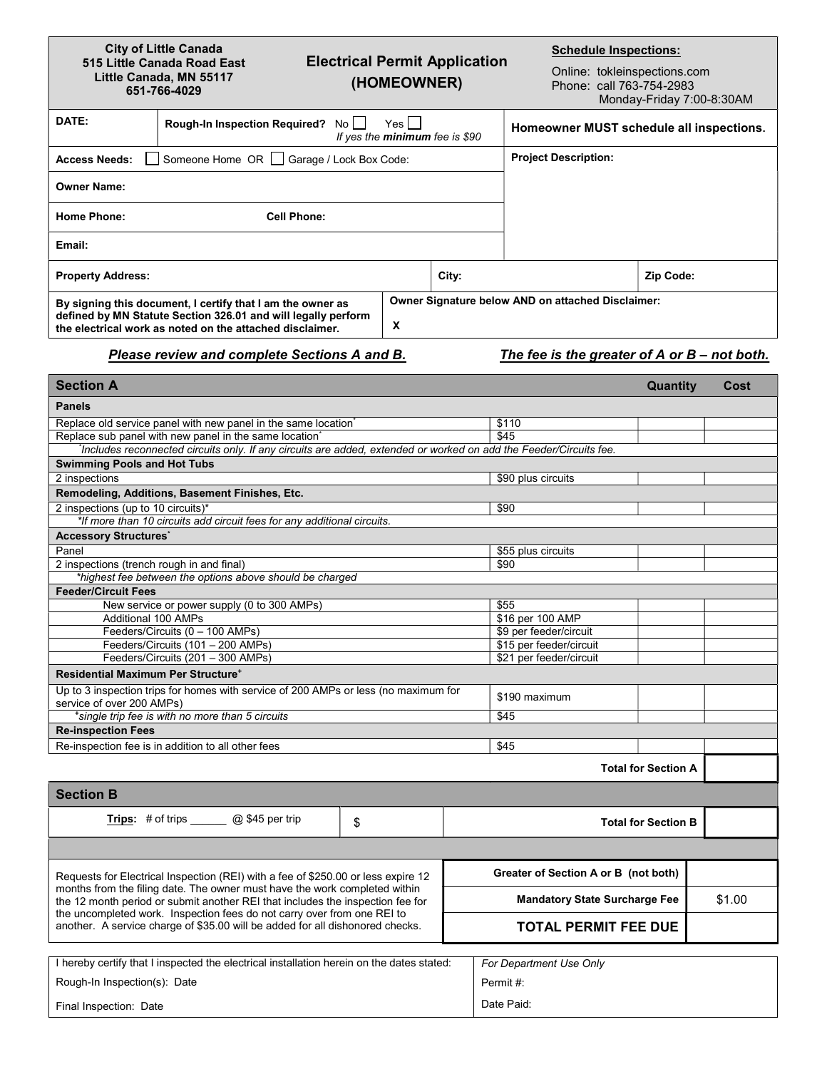## City of Little Canada 515 Little Canada Road East Little Canada, MN 55117 651-766-4029

## Electrical Permit Application (HOMEOWNER)

Schedule Inspections:

Online: tokleinspections.com Phone: call 763-754-2983 Monday-Friday 7:00-8:30AM

| DATE:                                                                                                                                                                                   | Rough-In Inspection Required? No<br>Yes I<br>If yes the minimum fee is \$90 |   | Homeowner MUST schedule all inspections. |                                                   |           |
|-----------------------------------------------------------------------------------------------------------------------------------------------------------------------------------------|-----------------------------------------------------------------------------|---|------------------------------------------|---------------------------------------------------|-----------|
| <b>Access Needs:</b>                                                                                                                                                                    | Someone Home OR   Garage / Lock Box Code:                                   |   |                                          | <b>Project Description:</b>                       |           |
| <b>Owner Name:</b>                                                                                                                                                                      |                                                                             |   |                                          |                                                   |           |
| <b>Home Phone:</b>                                                                                                                                                                      | <b>Cell Phone:</b>                                                          |   |                                          |                                                   |           |
| Email:                                                                                                                                                                                  |                                                                             |   |                                          |                                                   |           |
| <b>Property Address:</b>                                                                                                                                                                |                                                                             |   | City:                                    |                                                   | Zip Code: |
| By signing this document, I certify that I am the owner as<br>defined by MN Statute Section 326.01 and will legally perform<br>the electrical work as noted on the attached disclaimer. |                                                                             | X |                                          | Owner Signature below AND on attached Disclaimer: |           |

## Please review and complete Sections A and B. The fee is the greater of A or B – not both.

the uncompleted work. Inspection fees do not carry over from one REI to another. A service charge of \$35.00 will be added for all dishonored checks.

| <b>Section A</b>                                                                                                                                             |                                      |                                      | <b>Quantity</b>            | Cost |  |
|--------------------------------------------------------------------------------------------------------------------------------------------------------------|--------------------------------------|--------------------------------------|----------------------------|------|--|
| <b>Panels</b>                                                                                                                                                |                                      |                                      |                            |      |  |
| Replace old service panel with new panel in the same location                                                                                                | \$110                                |                                      |                            |      |  |
| Replace sub panel with new panel in the same location                                                                                                        | \$45                                 |                                      |                            |      |  |
| Includes reconnected circuits only. If any circuits are added, extended or worked on add the Feeder/Circuits fee.                                            |                                      |                                      |                            |      |  |
| <b>Swimming Pools and Hot Tubs</b>                                                                                                                           |                                      |                                      |                            |      |  |
| 2 inspections                                                                                                                                                | \$90 plus circuits                   |                                      |                            |      |  |
| Remodeling, Additions, Basement Finishes, Etc.                                                                                                               |                                      |                                      |                            |      |  |
| 2 inspections (up to 10 circuits)*                                                                                                                           | \$90                                 |                                      |                            |      |  |
| *If more than 10 circuits add circuit fees for any additional circuits.                                                                                      |                                      |                                      |                            |      |  |
| <b>Accessory Structures</b>                                                                                                                                  |                                      |                                      |                            |      |  |
| Panel                                                                                                                                                        | \$55 plus circuits                   |                                      |                            |      |  |
| 2 inspections (trench rough in and final)                                                                                                                    | \$90                                 |                                      |                            |      |  |
| *highest fee between the options above should be charged                                                                                                     |                                      |                                      |                            |      |  |
| <b>Feeder/Circuit Fees</b>                                                                                                                                   |                                      |                                      |                            |      |  |
| New service or power supply (0 to 300 AMPs)                                                                                                                  | \$55                                 |                                      |                            |      |  |
| Additional 100 AMPs                                                                                                                                          |                                      | \$16 per 100 AMP                     |                            |      |  |
| Feeders/Circuits (0 - 100 AMPs)                                                                                                                              |                                      | \$9 per feeder/circuit               |                            |      |  |
| Feeders/Circuits (101 - 200 AMPs)                                                                                                                            | \$15 per feeder/circuit              |                                      |                            |      |  |
| Feeders/Circuits (201 - 300 AMPs)                                                                                                                            | \$21 per feeder/circuit              |                                      |                            |      |  |
| <b>Residential Maximum Per Structure<sup>+</sup></b>                                                                                                         |                                      |                                      |                            |      |  |
| Up to 3 inspection trips for homes with service of 200 AMPs or less (no maximum for<br>service of over 200 AMPs)                                             | \$190 maximum                        |                                      |                            |      |  |
| *single trip fee is with no more than 5 circuits                                                                                                             | \$45                                 |                                      |                            |      |  |
| <b>Re-inspection Fees</b>                                                                                                                                    |                                      |                                      |                            |      |  |
| Re-inspection fee is in addition to all other fees                                                                                                           |                                      | \$45                                 |                            |      |  |
|                                                                                                                                                              |                                      |                                      | <b>Total for Section A</b> |      |  |
| <b>Section B</b>                                                                                                                                             |                                      |                                      |                            |      |  |
| Trips: # of trips $\_\_\_\_\_$ $\otimes$ \$45 per trip                                                                                                       | \$                                   |                                      | <b>Total for Section B</b> |      |  |
|                                                                                                                                                              |                                      |                                      |                            |      |  |
| Requests for Electrical Inspection (REI) with a fee of \$250.00 or less expire 12                                                                            |                                      | Greater of Section A or B (not both) |                            |      |  |
| months from the filing date. The owner must have the work completed within<br>the 12 month period or submit another REI that includes the inspection fee for | <b>Mandatory State Surcharge Fee</b> |                                      | \$1.00                     |      |  |

TOTAL PERMIT FEE DUE

| I hereby certify that I inspected the electrical installation herein on the dates stated: | For Department Use Only |
|-------------------------------------------------------------------------------------------|-------------------------|
| Rough-In Inspection(s): Date                                                              | Permit#:                |
| Final Inspection: Date                                                                    | Date Paid:              |